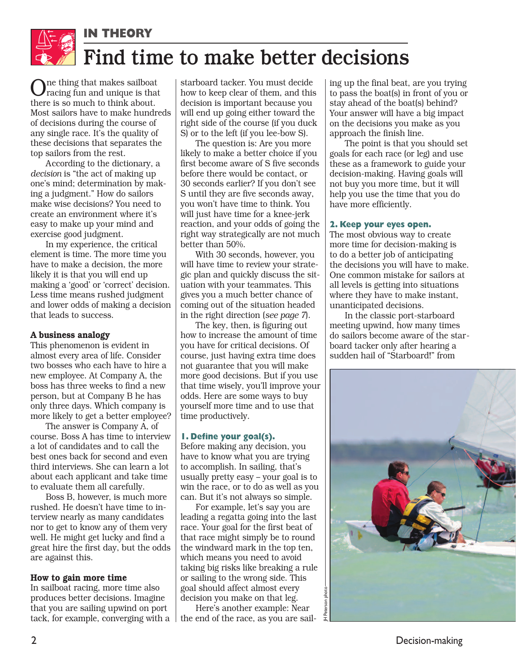

 $O_{\textrm{\tiny{I}}}$ ne thing that makes sailboat racing fun and unique is that there is so much to think about. Most sailors have to make hundreds of decisions during the course of any single race. It's the quality of these decisions that separates the top sailors from the rest.

According to the dictionary, a *decision* is "the act of making up one's mind; determination by making a judgment." How do sailors make wise decisions? You need to create an environment where it's easy to make up your mind and exercise good judgment.

In my experience, the critical element is time. The more time you have to make a decision, the more likely it is that you will end up making a 'good' or 'correct' decision. Less time means rushed judgment and lower odds of making a decision that leads to success.

# A business analogy

This phenomenon is evident in almost every area of life. Consider two bosses who each have to hire a new employee. At Company A, the boss has three weeks to find a new person, but at Company B he has only three days. Which company is more likely to get a better employee?

The answer is Company A, of course. Boss A has time to interview a lot of candidates and to call the best ones back for second and even third interviews. She can learn a lot about each applicant and take time to evaluate them all carefully.

Boss B, however, is much more rushed. He doesn't have time to interview nearly as many candidates nor to get to know any of them very well. He might get lucky and find a great hire the first day, but the odds are against this.

# How to gain more time

In sailboat racing, more time also produces better decisions. Imagine that you are sailing upwind on port tack, for example, converging with a

starboard tacker. You must decide how to keep clear of them, and this decision is important because you will end up going either toward the right side of the course (if you duck S) or to the left (if you lee-bow S).

The question is: Are you more likely to make a better choice if you first become aware of S five seconds before there would be contact, or 30 seconds earlier? If you don't see S until they are five seconds away, you won't have time to think. You will just have time for a knee-jerk reaction, and your odds of going the right way strategically are not much better than 50%.

With 30 seconds, however, you will have time to review your strategic plan and quickly discuss the situation with your teammates. This gives you a much better chance of coming out of the situation headed in the right direction (*see page 7*).

The key, then, is figuring out how to increase the amount of time you have for critical decisions. Of course, just having extra time does not guarantee that you will make more good decisions. But if you use that time wisely, you'll improve your odds. Here are some ways to buy yourself more time and to use that time productively.

### **1. Define your goal(s).**

Before making any decision, you have to know what you are trying to accomplish. In sailing, that's usually pretty easy – your goal is to win the race, or to do as well as you can. But it's not always so simple.

For example, let's say you are leading a regatta going into the last race. Your goal for the first beat of that race might simply be to round the windward mark in the top ten, which means you need to avoid taking big risks like breaking a rule or sailing to the wrong side. This goal should affect almost every decision you make on that leg.

Here's another example: Near the end of the race, as you are sailing up the final beat, are you trying to pass the boat(s) in front of you or stay ahead of the boat(s) behind? Your answer will have a big impact on the decisions you make as you approach the finish line.

The point is that you should set goals for each race (or leg) and use these as a framework to guide your decision-making. Having goals will not buy you more time, but it will help you use the time that you do have more efficiently.

# **2. Keep your eyes open.**

The most obvious way to create more time for decision-making is to do a better job of anticipating the decisions you will have to make. One common mistake for sailors at all levels is getting into situations where they have to make instant, unanticipated decisions.

In the classic port-starboard meeting upwind, how many times do sailors become aware of the starboard tacker only after hearing a sudden hail of "Starboard!" from